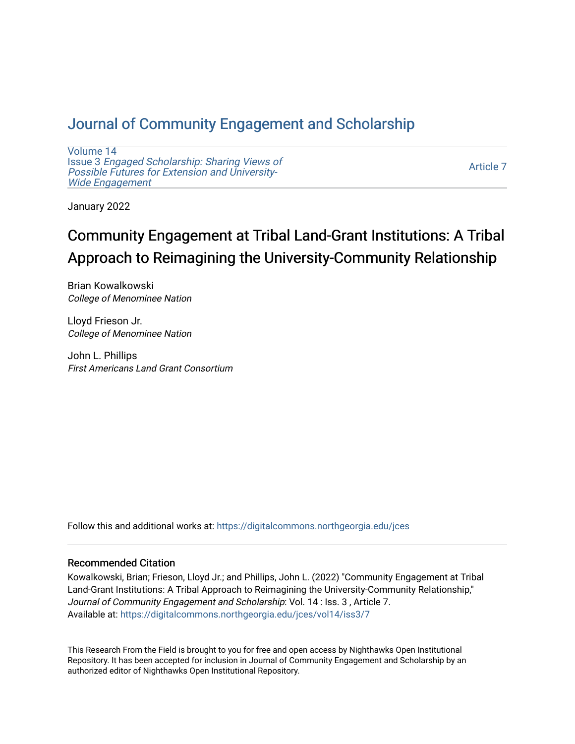# [Journal of Community Engagement and Scholarship](https://digitalcommons.northgeorgia.edu/jces)

[Volume 14](https://digitalcommons.northgeorgia.edu/jces/vol14) Issue 3 [Engaged Scholarship: Sharing Views of](https://digitalcommons.northgeorgia.edu/jces/vol14/iss3) [Possible Futures for Extension and University-](https://digitalcommons.northgeorgia.edu/jces/vol14/iss3)[Wide Engagement](https://digitalcommons.northgeorgia.edu/jces/vol14/iss3) 

[Article 7](https://digitalcommons.northgeorgia.edu/jces/vol14/iss3/7) 

January 2022

# Community Engagement at Tribal Land-Grant Institutions: A Tribal Approach to Reimagining the University-Community Relationship

Brian Kowalkowski College of Menominee Nation

Lloyd Frieson Jr. College of Menominee Nation

John L. Phillips First Americans Land Grant Consortium

Follow this and additional works at: [https://digitalcommons.northgeorgia.edu/jces](https://digitalcommons.northgeorgia.edu/jces?utm_source=digitalcommons.northgeorgia.edu%2Fjces%2Fvol14%2Fiss3%2F7&utm_medium=PDF&utm_campaign=PDFCoverPages)

## Recommended Citation

Kowalkowski, Brian; Frieson, Lloyd Jr.; and Phillips, John L. (2022) "Community Engagement at Tribal Land-Grant Institutions: A Tribal Approach to Reimagining the University-Community Relationship," Journal of Community Engagement and Scholarship: Vol. 14 : Iss. 3 , Article 7. Available at: [https://digitalcommons.northgeorgia.edu/jces/vol14/iss3/7](https://digitalcommons.northgeorgia.edu/jces/vol14/iss3/7?utm_source=digitalcommons.northgeorgia.edu%2Fjces%2Fvol14%2Fiss3%2F7&utm_medium=PDF&utm_campaign=PDFCoverPages) 

This Research From the Field is brought to you for free and open access by Nighthawks Open Institutional Repository. It has been accepted for inclusion in Journal of Community Engagement and Scholarship by an authorized editor of Nighthawks Open Institutional Repository.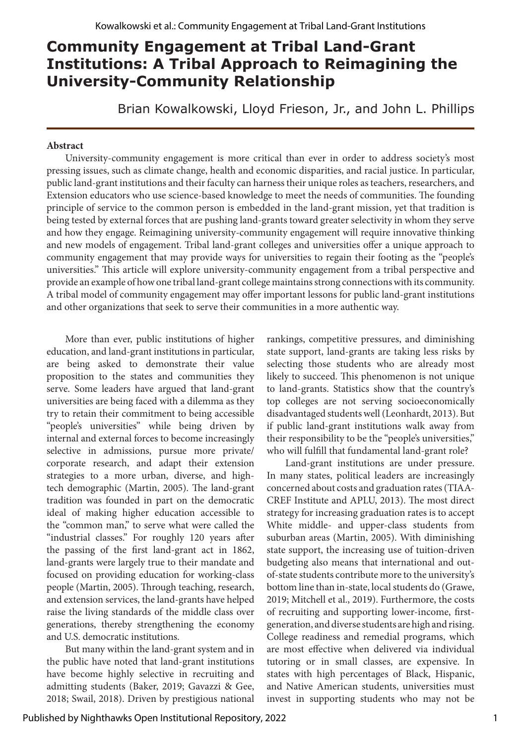# **Community Engagement at Tribal Land-Grant Institutions: A Tribal Approach to Reimagining the University-Community Relationship**

Brian Kowalkowski, Lloyd Frieson, Jr., and John L. Phillips

### **Abstract**

University-community engagement is more critical than ever in order to address society's most pressing issues, such as climate change, health and economic disparities, and racial justice. In particular, public land-grant institutions and their faculty can harness their unique roles as teachers, researchers, and Extension educators who use science-based knowledge to meet the needs of communities. The founding principle of service to the common person is embedded in the land-grant mission, yet that tradition is being tested by external forces that are pushing land-grants toward greater selectivity in whom they serve and how they engage. Reimagining university-community engagement will require innovative thinking and new models of engagement. Tribal land-grant colleges and universities offer a unique approach to community engagement that may provide ways for universities to regain their footing as the "people's universities." This article will explore university-community engagement from a tribal perspective and provide an example of how one tribal land-grant college maintains strong connections with its community. A tribal model of community engagement may offer important lessons for public land-grant institutions and other organizations that seek to serve their communities in a more authentic way.

More than ever, public institutions of higher education, and land-grant institutions in particular, are being asked to demonstrate their value proposition to the states and communities they serve. Some leaders have argued that land-grant universities are being faced with a dilemma as they try to retain their commitment to being accessible "people's universities" while being driven by internal and external forces to become increasingly selective in admissions, pursue more private/ corporate research, and adapt their extension strategies to a more urban, diverse, and hightech demographic (Martin, 2005). The land-grant tradition was founded in part on the democratic ideal of making higher education accessible to the "common man," to serve what were called the "industrial classes." For roughly 120 years after the passing of the first land-grant act in 1862, land-grants were largely true to their mandate and focused on providing education for working-class people (Martin, 2005). Through teaching, research, and extension services, the land-grants have helped raise the living standards of the middle class over generations, thereby strengthening the economy and U.S. democratic institutions.

But many within the land-grant system and in the public have noted that land-grant institutions have become highly selective in recruiting and admitting students (Baker, 2019; Gavazzi & Gee, 2018; Swail, 2018). Driven by prestigious national rankings, competitive pressures, and diminishing state support, land-grants are taking less risks by selecting those students who are already most likely to succeed. This phenomenon is not unique to land-grants. Statistics show that the country's top colleges are not serving socioeconomically disadvantaged students well (Leonhardt, 2013). But if public land-grant institutions walk away from their responsibility to be the "people's universities," who will fulfill that fundamental land-grant role?

Land-grant institutions are under pressure. In many states, political leaders are increasingly concerned about costs and graduation rates (TIAA-CREF Institute and APLU, 2013). The most direct strategy for increasing graduation rates is to accept White middle- and upper-class students from suburban areas (Martin, 2005). With diminishing state support, the increasing use of tuition-driven budgeting also means that international and outof-state students contribute more to the university's bottom line than in-state, local students do (Grawe, 2019; Mitchell et al., 2019). Furthermore, the costs of recruiting and supporting lower-income, firstgeneration, and diverse students are high and rising. College readiness and remedial programs, which are most effective when delivered via individual tutoring or in small classes, are expensive. In states with high percentages of Black, Hispanic, and Native American students, universities must invest in supporting students who may not be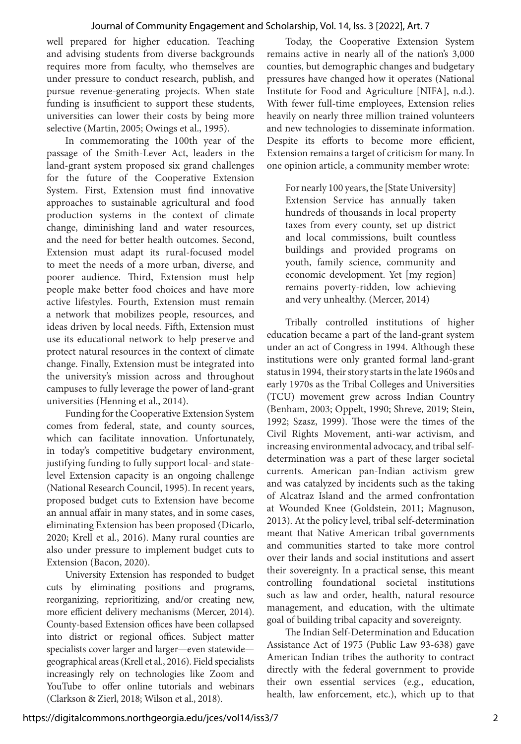well prepared for higher education. Teaching and advising students from diverse backgrounds requires more from faculty, who themselves are under pressure to conduct research, publish, and pursue revenue-generating projects. When state funding is insufficient to support these students, universities can lower their costs by being more selective (Martin, 2005; Owings et al., 1995).

In commemorating the 100th year of the passage of the Smith-Lever Act, leaders in the land-grant system proposed six grand challenges for the future of the Cooperative Extension System. First, Extension must find innovative approaches to sustainable agricultural and food production systems in the context of climate change, diminishing land and water resources, and the need for better health outcomes. Second, Extension must adapt its rural-focused model to meet the needs of a more urban, diverse, and poorer audience. Third, Extension must help people make better food choices and have more active lifestyles. Fourth, Extension must remain a network that mobilizes people, resources, and ideas driven by local needs. Fifth, Extension must use its educational network to help preserve and protect natural resources in the context of climate change. Finally, Extension must be integrated into the university's mission across and throughout campuses to fully leverage the power of land-grant universities (Henning et al., 2014).

Funding for the Cooperative Extension System comes from federal, state, and county sources, which can facilitate innovation. Unfortunately, in today's competitive budgetary environment, justifying funding to fully support local- and statelevel Extension capacity is an ongoing challenge (National Research Council, 1995). In recent years, proposed budget cuts to Extension have become an annual affair in many states, and in some cases, eliminating Extension has been proposed (Dicarlo, 2020; Krell et al., 2016). Many rural counties are also under pressure to implement budget cuts to Extension (Bacon, 2020).

University Extension has responded to budget cuts by eliminating positions and programs, reorganizing, reprioritizing, and/or creating new, more efficient delivery mechanisms (Mercer, 2014). County-based Extension offices have been collapsed into district or regional offices. Subject matter specialists cover larger and larger—even statewide geographical areas (Krell et al., 2016). Field specialists increasingly rely on technologies like Zoom and YouTube to offer online tutorials and webinars (Clarkson & Zierl, 2018; Wilson et al., 2018).

Today, the Cooperative Extension System remains active in nearly all of the nation's 3,000 counties, but demographic changes and budgetary pressures have changed how it operates (National Institute for Food and Agriculture [NIFA], n.d.). With fewer full-time employees, Extension relies heavily on nearly three million trained volunteers and new technologies to disseminate information. Despite its efforts to become more efficient, Extension remains a target of criticism for many. In one opinion article, a community member wrote:

For nearly 100 years, the [State University] Extension Service has annually taken hundreds of thousands in local property taxes from every county, set up district and local commissions, built countless buildings and provided programs on youth, family science, community and economic development. Yet [my region] remains poverty-ridden, low achieving and very unhealthy. (Mercer, 2014)

Tribally controlled institutions of higher education became a part of the land-grant system under an act of Congress in 1994. Although these institutions were only granted formal land-grant status in 1994, their story starts in the late 1960s and early 1970s as the Tribal Colleges and Universities (TCU) movement grew across Indian Country (Benham, 2003; Oppelt, 1990; Shreve, 2019; Stein, 1992; Szasz, 1999). Those were the times of the Civil Rights Movement, anti-war activism, and increasing environmental advocacy, and tribal selfdetermination was a part of these larger societal currents. American pan-Indian activism grew and was catalyzed by incidents such as the taking of Alcatraz Island and the armed confrontation at Wounded Knee (Goldstein, 2011; Magnuson, 2013). At the policy level, tribal self-determination meant that Native American tribal governments and communities started to take more control over their lands and social institutions and assert their sovereignty. In a practical sense, this meant controlling foundational societal institutions such as law and order, health, natural resource management, and education, with the ultimate goal of building tribal capacity and sovereignty.

The Indian Self-Determination and Education Assistance Act of 1975 (Public Law 93-638) gave American Indian tribes the authority to contract directly with the federal government to provide their own essential services (e.g., education, health, law enforcement, etc.), which up to that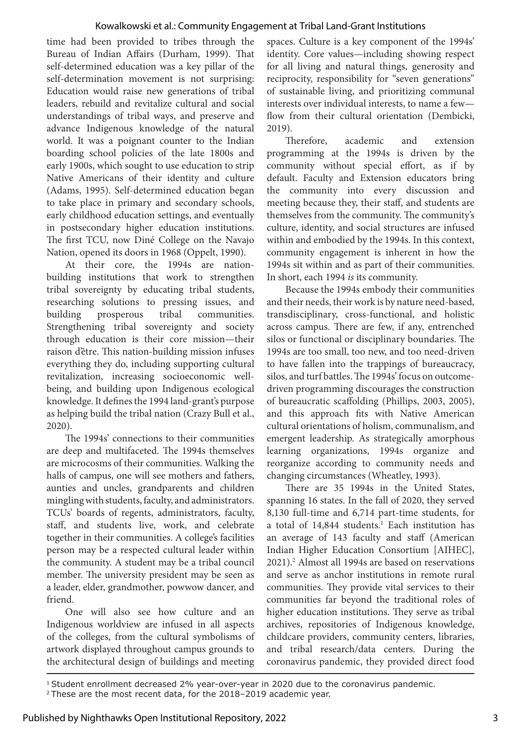time had been provided to tribes through the Bureau of Indian Affairs (Durham, 1999). That self-determined education was a key pillar of the self-determination movement is not surprising: Education would raise new generations of tribal leaders, rebuild and revitalize cultural and social understandings of tribal ways, and preserve and advance Indigenous knowledge of the natural world. It was a poignant counter to the Indian boarding school policies of the late 1800s and early 1900s, which sought to use education to strip Native Americans of their identity and culture (Adams, 1995). Self-determined education began to take place in primary and secondary schools, early childhood education settings, and eventually in postsecondary higher education institutions. The first TCU, now Diné College on the Navajo Nation, opened its doors in 1968 (Oppelt, 1990).

At their core, the 1994s are nationbuilding institutions that work to strengthen tribal sovereignty by educating tribal students, researching solutions to pressing issues, and building prosperous tribal communities. Strengthening tribal sovereignty and society through education is their core mission—their raison d'être. This nation-building mission infuses everything they do, including supporting cultural revitalization, increasing socioeconomic wellbeing, and building upon Indigenous ecological knowledge. It defines the 1994 land-grant's purpose as helping build the tribal nation (Crazy Bull et al., 2020).

The 1994s' connections to their communities are deep and multifaceted. The 1994s themselves are microcosms of their communities. Walking the halls of campus, one will see mothers and fathers, aunties and uncles, grandparents and children mingling with students, faculty, and administrators. TCUs' boards of regents, administrators, faculty, staff, and students live, work, and celebrate together in their communities. A college's facilities person may be a respected cultural leader within the community. A student may be a tribal council member. The university president may be seen as a leader, elder, grandmother, powwow dancer, and friend.

One will also see how culture and an Indigenous worldview are infused in all aspects of the colleges, from the cultural symbolisms of artwork displayed throughout campus grounds to the architectural design of buildings and meeting spaces. Culture is a key component of the 1994s' identity. Core values—including showing respect for all living and natural things, generosity and reciprocity, responsibility for "seven generations" of sustainable living, and prioritizing communal interests over individual interests, to name a few flow from their cultural orientation (Dembicki, 2019).

Therefore, academic and extension programming at the 1994s is driven by the community without special effort, as if by default. Faculty and Extension educators bring the community into every discussion and meeting because they, their staff, and students are themselves from the community. The community's culture, identity, and social structures are infused within and embodied by the 1994s. In this context, community engagement is inherent in how the 1994s sit within and as part of their communities. In short, each 1994 *is* its community.

Because the 1994s embody their communities and their needs, their work is by nature need-based, transdisciplinary, cross-functional, and holistic across campus. There are few, if any, entrenched silos or functional or disciplinary boundaries. The 1994s are too small, too new, and too need-driven to have fallen into the trappings of bureaucracy, silos, and turf battles. The 1994s' focus on outcomedriven programming discourages the construction of bureaucratic scaffolding (Phillips, 2003, 2005), and this approach fits with Native American cultural orientations of holism, communalism, and emergent leadership. As strategically amorphous learning organizations, 1994s organize and reorganize according to community needs and changing circumstances (Wheatley, 1993).

There are 35 1994s in the United States, spanning 16 states. In the fall of 2020, they served 8,130 full-time and 6,714 part-time students, for a total of 14,844 students.<sup>1</sup> Each institution has an average of 143 faculty and staff (American Indian Higher Education Consortium [AIHEC], 2021).2 Almost all 1994s are based on reservations and serve as anchor institutions in remote rural communities. They provide vital services to their communities far beyond the traditional roles of higher education institutions. They serve as tribal archives, repositories of Indigenous knowledge, childcare providers, community centers, libraries, and tribal research/data centers. During the coronavirus pandemic, they provided direct food

1 Student enrollment decreased 2% year-over-year in 2020 due to the coronavirus pandemic.

<sup>2</sup> These are the most recent data, for the 2018–2019 academic year.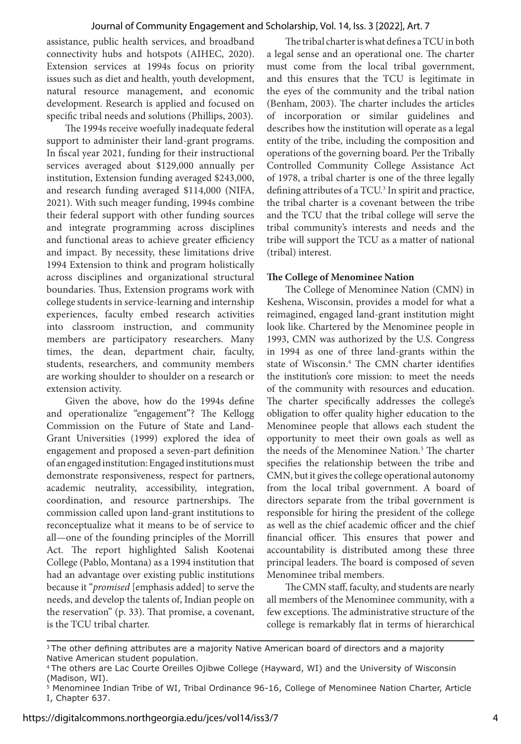assistance, public health services, and broadband connectivity hubs and hotspots (AIHEC, 2020). Extension services at 1994s focus on priority issues such as diet and health, youth development, natural resource management, and economic development. Research is applied and focused on specific tribal needs and solutions (Phillips, 2003).

The 1994s receive woefully inadequate federal support to administer their land-grant programs. In fiscal year 2021, funding for their instructional services averaged about \$129,000 annually per institution, Extension funding averaged \$243,000, and research funding averaged \$114,000 (NIFA, 2021). With such meager funding, 1994s combine their federal support with other funding sources and integrate programming across disciplines and functional areas to achieve greater efficiency and impact. By necessity, these limitations drive 1994 Extension to think and program holistically across disciplines and organizational structural boundaries. Thus, Extension programs work with college students in service-learning and internship experiences, faculty embed research activities into classroom instruction, and community members are participatory researchers. Many times, the dean, department chair, faculty, students, researchers, and community members are working shoulder to shoulder on a research or extension activity.

Given the above, how do the 1994s define and operationalize "engagement"? The Kellogg Commission on the Future of State and Land-Grant Universities (1999) explored the idea of engagement and proposed a seven-part definition of an engaged institution: Engaged institutions must demonstrate responsiveness, respect for partners, academic neutrality, accessibility, integration, coordination, and resource partnerships. The commission called upon land-grant institutions to reconceptualize what it means to be of service to all—one of the founding principles of the Morrill Act. The report highlighted Salish Kootenai College (Pablo, Montana) as a 1994 institution that had an advantage over existing public institutions because it "*promised* [emphasis added] to serve the needs, and develop the talents of, Indian people on the reservation" (p. 33). That promise, a covenant, is the TCU tribal charter.

The tribal charter is what defines a TCU in both a legal sense and an operational one. The charter must come from the local tribal government, and this ensures that the TCU is legitimate in the eyes of the community and the tribal nation (Benham, 2003). The charter includes the articles of incorporation or similar guidelines and describes how the institution will operate as a legal entity of the tribe, including the composition and operations of the governing board. Per the Tribally Controlled Community College Assistance Act of 1978, a tribal charter is one of the three legally defining attributes of a TCU.<sup>3</sup> In spirit and practice, the tribal charter is a covenant between the tribe and the TCU that the tribal college will serve the tribal community's interests and needs and the tribe will support the TCU as a matter of national (tribal) interest.

## **The College of Menominee Nation**

The College of Menominee Nation (CMN) in Keshena, Wisconsin, provides a model for what a reimagined, engaged land-grant institution might look like. Chartered by the Menominee people in 1993, CMN was authorized by the U.S. Congress in 1994 as one of three land-grants within the state of Wisconsin.4 The CMN charter identifies the institution's core mission: to meet the needs of the community with resources and education. The charter specifically addresses the college's obligation to offer quality higher education to the Menominee people that allows each student the opportunity to meet their own goals as well as the needs of the Menominee Nation.5 The charter specifies the relationship between the tribe and CMN, but it gives the college operational autonomy from the local tribal government. A board of directors separate from the tribal government is responsible for hiring the president of the college as well as the chief academic officer and the chief financial officer. This ensures that power and accountability is distributed among these three principal leaders. The board is composed of seven Menominee tribal members.

The CMN staff, faculty, and students are nearly all members of the Menominee community, with a few exceptions. The administrative structure of the college is remarkably flat in terms of hierarchical

<sup>&</sup>lt;sup>3</sup>The other defining attributes are a majority Native American board of directors and a majority Native American student population.

<sup>4</sup>The others are Lac Courte Oreilles Ojibwe College (Hayward, WI) and the University of Wisconsin (Madison, WI).

<sup>5</sup> Menominee Indian Tribe of WI, Tribal Ordinance 96-16, College of Menominee Nation Charter, Article I, Chapter 637.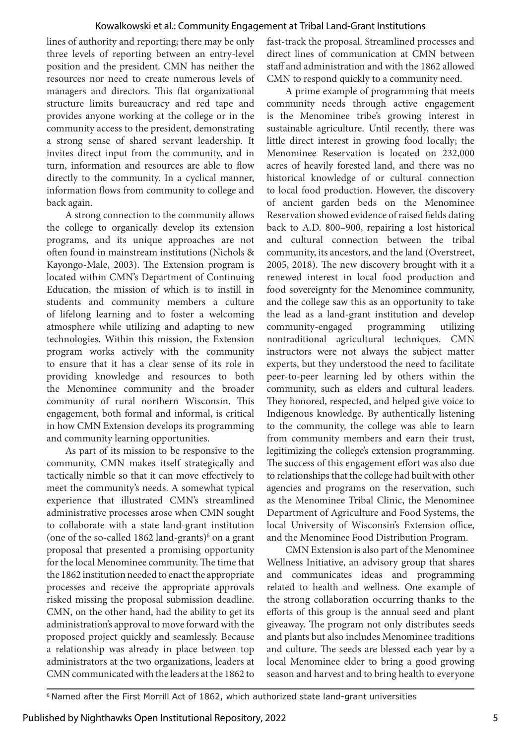lines of authority and reporting; there may be only three levels of reporting between an entry-level position and the president. CMN has neither the resources nor need to create numerous levels of managers and directors. This flat organizational structure limits bureaucracy and red tape and provides anyone working at the college or in the community access to the president, demonstrating a strong sense of shared servant leadership. It invites direct input from the community, and in turn, information and resources are able to flow directly to the community. In a cyclical manner, information flows from community to college and back again.

A strong connection to the community allows the college to organically develop its extension programs, and its unique approaches are not often found in mainstream institutions (Nichols & Kayongo-Male, 2003). The Extension program is located within CMN's Department of Continuing Education, the mission of which is to instill in students and community members a culture of lifelong learning and to foster a welcoming atmosphere while utilizing and adapting to new technologies. Within this mission, the Extension program works actively with the community to ensure that it has a clear sense of its role in providing knowledge and resources to both the Menominee community and the broader community of rural northern Wisconsin. This engagement, both formal and informal, is critical in how CMN Extension develops its programming and community learning opportunities.

As part of its mission to be responsive to the community, CMN makes itself strategically and tactically nimble so that it can move effectively to meet the community's needs. A somewhat typical experience that illustrated CMN's streamlined administrative processes arose when CMN sought to collaborate with a state land-grant institution (one of the so-called 1862 land-grants) $6$  on a grant proposal that presented a promising opportunity for the local Menominee community. The time that the 1862 institution needed to enact the appropriate processes and receive the appropriate approvals risked missing the proposal submission deadline. CMN, on the other hand, had the ability to get its administration's approval to move forward with the proposed project quickly and seamlessly. Because a relationship was already in place between top administrators at the two organizations, leaders at CMN communicated with the leaders at the 1862 to

fast-track the proposal. Streamlined processes and direct lines of communication at CMN between staff and administration and with the 1862 allowed CMN to respond quickly to a community need.

A prime example of programming that meets community needs through active engagement is the Menominee tribe's growing interest in sustainable agriculture. Until recently, there was little direct interest in growing food locally; the Menominee Reservation is located on 232,000 acres of heavily forested land, and there was no historical knowledge of or cultural connection to local food production. However, the discovery of ancient garden beds on the Menominee Reservation showed evidence of raised fields dating back to A.D. 800–900, repairing a lost historical and cultural connection between the tribal community, its ancestors, and the land (Overstreet, 2005, 2018). The new discovery brought with it a renewed interest in local food production and food sovereignty for the Menominee community, and the college saw this as an opportunity to take the lead as a land-grant institution and develop community-engaged programming utilizing nontraditional agricultural techniques. CMN instructors were not always the subject matter experts, but they understood the need to facilitate peer-to-peer learning led by others within the community, such as elders and cultural leaders. They honored, respected, and helped give voice to Indigenous knowledge. By authentically listening to the community, the college was able to learn from community members and earn their trust, legitimizing the college's extension programming. The success of this engagement effort was also due to relationships that the college had built with other agencies and programs on the reservation, such as the Menominee Tribal Clinic, the Menominee Department of Agriculture and Food Systems, the local University of Wisconsin's Extension office, and the Menominee Food Distribution Program.

CMN Extension is also part of the Menominee Wellness Initiative, an advisory group that shares and communicates ideas and programming related to health and wellness. One example of the strong collaboration occurring thanks to the efforts of this group is the annual seed and plant giveaway. The program not only distributes seeds and plants but also includes Menominee traditions and culture. The seeds are blessed each year by a local Menominee elder to bring a good growing season and harvest and to bring health to everyone

<sup>&</sup>lt;sup>6</sup> Named after the First Morrill Act of 1862, which authorized state land-grant universities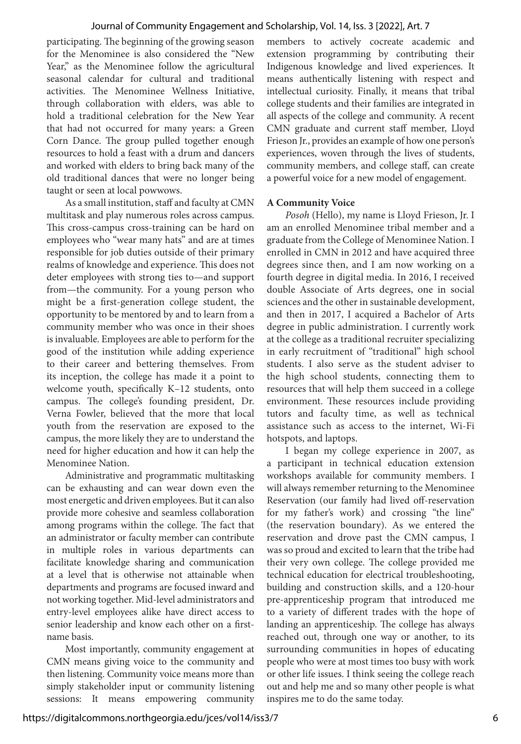participating. The beginning of the growing season for the Menominee is also considered the "New Year," as the Menominee follow the agricultural seasonal calendar for cultural and traditional activities. The Menominee Wellness Initiative, through collaboration with elders, was able to hold a traditional celebration for the New Year that had not occurred for many years: a Green Corn Dance. The group pulled together enough resources to hold a feast with a drum and dancers and worked with elders to bring back many of the old traditional dances that were no longer being taught or seen at local powwows.

As a small institution, staff and faculty at CMN multitask and play numerous roles across campus. This cross-campus cross-training can be hard on employees who "wear many hats" and are at times responsible for job duties outside of their primary realms of knowledge and experience. This does not deter employees with strong ties to—and support from—the community. For a young person who might be a first-generation college student, the opportunity to be mentored by and to learn from a community member who was once in their shoes is invaluable. Employees are able to perform for the good of the institution while adding experience to their career and bettering themselves. From its inception, the college has made it a point to welcome youth, specifically K–12 students, onto campus. The college's founding president, Dr. Verna Fowler, believed that the more that local youth from the reservation are exposed to the campus, the more likely they are to understand the need for higher education and how it can help the Menominee Nation.

Administrative and programmatic multitasking can be exhausting and can wear down even the most energetic and driven employees. But it can also provide more cohesive and seamless collaboration among programs within the college. The fact that an administrator or faculty member can contribute in multiple roles in various departments can facilitate knowledge sharing and communication at a level that is otherwise not attainable when departments and programs are focused inward and not working together. Mid-level administrators and entry-level employees alike have direct access to senior leadership and know each other on a firstname basis.

Most importantly, community engagement at CMN means giving voice to the community and then listening. Community voice means more than simply stakeholder input or community listening sessions: It means empowering community members to actively cocreate academic and extension programming by contributing their Indigenous knowledge and lived experiences. It means authentically listening with respect and intellectual curiosity. Finally, it means that tribal college students and their families are integrated in all aspects of the college and community. A recent CMN graduate and current staff member, Lloyd Frieson Jr., provides an example of how one person's experiences, woven through the lives of students, community members, and college staff, can create a powerful voice for a new model of engagement.

### **A Community Voice**

*Posoh* (Hello), my name is Lloyd Frieson, Jr. I am an enrolled Menominee tribal member and a graduate from the College of Menominee Nation. I enrolled in CMN in 2012 and have acquired three degrees since then, and I am now working on a fourth degree in digital media. In 2016, I received double Associate of Arts degrees, one in social sciences and the other in sustainable development, and then in 2017, I acquired a Bachelor of Arts degree in public administration. I currently work at the college as a traditional recruiter specializing in early recruitment of "traditional" high school students. I also serve as the student adviser to the high school students, connecting them to resources that will help them succeed in a college environment. These resources include providing tutors and faculty time, as well as technical assistance such as access to the internet, Wi-Fi hotspots, and laptops.

I began my college experience in 2007, as a participant in technical education extension workshops available for community members. I will always remember returning to the Menominee Reservation (our family had lived off-reservation for my father's work) and crossing "the line" (the reservation boundary). As we entered the reservation and drove past the CMN campus, I was so proud and excited to learn that the tribe had their very own college. The college provided me technical education for electrical troubleshooting, building and construction skills, and a 120-hour pre-apprenticeship program that introduced me to a variety of different trades with the hope of landing an apprenticeship. The college has always reached out, through one way or another, to its surrounding communities in hopes of educating people who were at most times too busy with work or other life issues. I think seeing the college reach out and help me and so many other people is what inspires me to do the same today.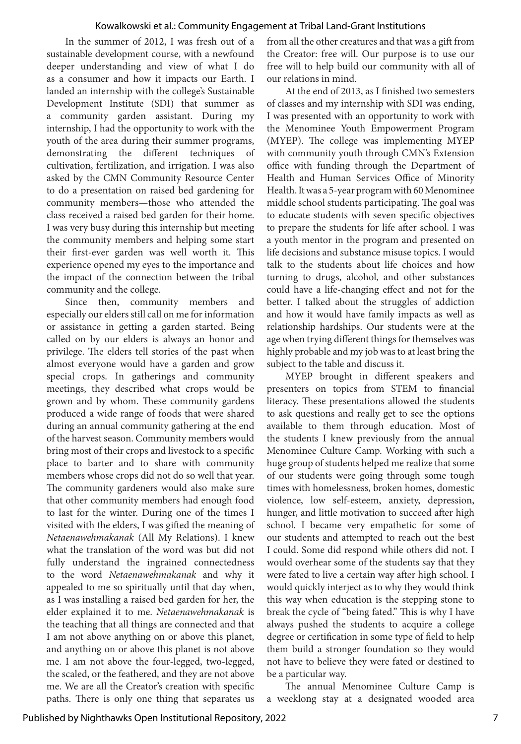In the summer of 2012, I was fresh out of a sustainable development course, with a newfound deeper understanding and view of what I do as a consumer and how it impacts our Earth. I landed an internship with the college's Sustainable Development Institute (SDI) that summer as a community garden assistant. During my internship, I had the opportunity to work with the youth of the area during their summer programs, demonstrating the different techniques of cultivation, fertilization, and irrigation. I was also asked by the CMN Community Resource Center to do a presentation on raised bed gardening for community members—those who attended the class received a raised bed garden for their home. I was very busy during this internship but meeting the community members and helping some start their first-ever garden was well worth it. This experience opened my eyes to the importance and the impact of the connection between the tribal community and the college.

Since then, community members and especially our elders still call on me for information or assistance in getting a garden started. Being called on by our elders is always an honor and privilege. The elders tell stories of the past when almost everyone would have a garden and grow special crops. In gatherings and community meetings, they described what crops would be grown and by whom. These community gardens produced a wide range of foods that were shared during an annual community gathering at the end of the harvest season. Community members would bring most of their crops and livestock to a specific place to barter and to share with community members whose crops did not do so well that year. The community gardeners would also make sure that other community members had enough food to last for the winter. During one of the times I visited with the elders, I was gifted the meaning of *Netaenawehmakanak* (All My Relations). I knew what the translation of the word was but did not fully understand the ingrained connectedness to the word *Netaenawehmakanak* and why it appealed to me so spiritually until that day when, as I was installing a raised bed garden for her, the elder explained it to me. *Netaenawehmakanak* is the teaching that all things are connected and that I am not above anything on or above this planet, and anything on or above this planet is not above me. I am not above the four-legged, two-legged, the scaled, or the feathered, and they are not above me. We are all the Creator's creation with specific paths. There is only one thing that separates us

from all the other creatures and that was a gift from the Creator: free will. Our purpose is to use our free will to help build our community with all of our relations in mind.

At the end of 2013, as I finished two semesters of classes and my internship with SDI was ending, I was presented with an opportunity to work with the Menominee Youth Empowerment Program (MYEP). The college was implementing MYEP with community youth through CMN's Extension office with funding through the Department of Health and Human Services Office of Minority Health. It was a 5-year program with 60 Menominee middle school students participating. The goal was to educate students with seven specific objectives to prepare the students for life after school. I was a youth mentor in the program and presented on life decisions and substance misuse topics. I would talk to the students about life choices and how turning to drugs, alcohol, and other substances could have a life-changing effect and not for the better. I talked about the struggles of addiction and how it would have family impacts as well as relationship hardships. Our students were at the age when trying different things for themselves was highly probable and my job was to at least bring the subject to the table and discuss it.

MYEP brought in different speakers and presenters on topics from STEM to financial literacy. These presentations allowed the students to ask questions and really get to see the options available to them through education. Most of the students I knew previously from the annual Menominee Culture Camp. Working with such a huge group of students helped me realize that some of our students were going through some tough times with homelessness, broken homes, domestic violence, low self-esteem, anxiety, depression, hunger, and little motivation to succeed after high school. I became very empathetic for some of our students and attempted to reach out the best I could. Some did respond while others did not. I would overhear some of the students say that they were fated to live a certain way after high school. I would quickly interject as to why they would think this way when education is the stepping stone to break the cycle of "being fated." This is why I have always pushed the students to acquire a college degree or certification in some type of field to help them build a stronger foundation so they would not have to believe they were fated or destined to be a particular way.

The annual Menominee Culture Camp is a weeklong stay at a designated wooded area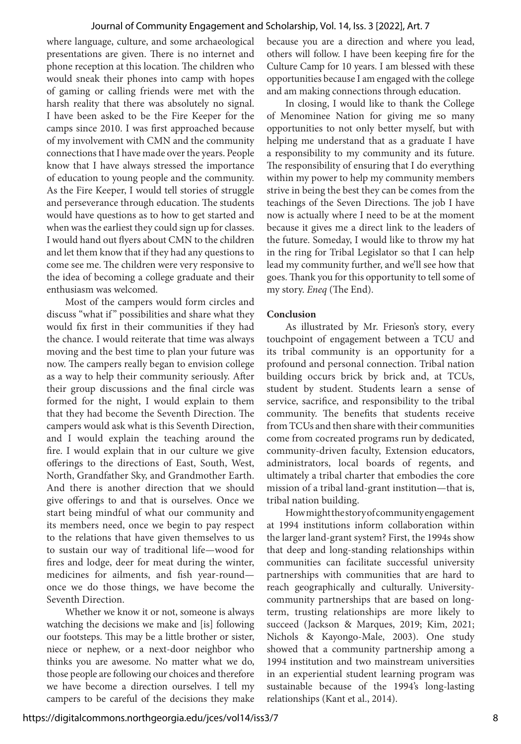#### Journal of Community Engagement and Scholarship, Vol. 14, Iss. 3 [2022], Art. 7

where language, culture, and some archaeological presentations are given. There is no internet and phone reception at this location. The children who would sneak their phones into camp with hopes of gaming or calling friends were met with the harsh reality that there was absolutely no signal. I have been asked to be the Fire Keeper for the camps since 2010. I was first approached because of my involvement with CMN and the community connections that I have made over the years. People know that I have always stressed the importance of education to young people and the community. As the Fire Keeper, I would tell stories of struggle and perseverance through education. The students would have questions as to how to get started and when was the earliest they could sign up for classes. I would hand out flyers about CMN to the children and let them know that if they had any questions to come see me. The children were very responsive to the idea of becoming a college graduate and their enthusiasm was welcomed.

Most of the campers would form circles and discuss "what if " possibilities and share what they would fix first in their communities if they had the chance. I would reiterate that time was always moving and the best time to plan your future was now. The campers really began to envision college as a way to help their community seriously. After their group discussions and the final circle was formed for the night, I would explain to them that they had become the Seventh Direction. The campers would ask what is this Seventh Direction, and I would explain the teaching around the fire. I would explain that in our culture we give offerings to the directions of East, South, West, North, Grandfather Sky, and Grandmother Earth. And there is another direction that we should give offerings to and that is ourselves. Once we start being mindful of what our community and its members need, once we begin to pay respect to the relations that have given themselves to us to sustain our way of traditional life—wood for fires and lodge, deer for meat during the winter, medicines for ailments, and fish year-round once we do those things, we have become the Seventh Direction.

Whether we know it or not, someone is always watching the decisions we make and [is] following our footsteps. This may be a little brother or sister, niece or nephew, or a next-door neighbor who thinks you are awesome. No matter what we do, those people are following our choices and therefore we have become a direction ourselves. I tell my campers to be careful of the decisions they make because you are a direction and where you lead, others will follow. I have been keeping fire for the Culture Camp for 10 years. I am blessed with these opportunities because I am engaged with the college and am making connections through education.

In closing, I would like to thank the College of Menominee Nation for giving me so many opportunities to not only better myself, but with helping me understand that as a graduate I have a responsibility to my community and its future. The responsibility of ensuring that I do everything within my power to help my community members strive in being the best they can be comes from the teachings of the Seven Directions. The job I have now is actually where I need to be at the moment because it gives me a direct link to the leaders of the future. Someday, I would like to throw my hat in the ring for Tribal Legislator so that I can help lead my community further, and we'll see how that goes. Thank you for this opportunity to tell some of my story. *Eneq* (The End).

#### **Conclusion**

As illustrated by Mr. Frieson's story, every touchpoint of engagement between a TCU and its tribal community is an opportunity for a profound and personal connection. Tribal nation building occurs brick by brick and, at TCUs, student by student. Students learn a sense of service, sacrifice, and responsibility to the tribal community. The benefits that students receive from TCUs and then share with their communities come from cocreated programs run by dedicated, community-driven faculty, Extension educators, administrators, local boards of regents, and ultimately a tribal charter that embodies the core mission of a tribal land-grant institution—that is, tribal nation building.

How might the story of community engagement at 1994 institutions inform collaboration within the larger land-grant system? First, the 1994s show that deep and long-standing relationships within communities can facilitate successful university partnerships with communities that are hard to reach geographically and culturally. Universitycommunity partnerships that are based on longterm, trusting relationships are more likely to succeed (Jackson & Marques, 2019; Kim, 2021; Nichols & Kayongo-Male, 2003). One study showed that a community partnership among a 1994 institution and two mainstream universities in an experiential student learning program was sustainable because of the 1994's long-lasting relationships (Kant et al., 2014).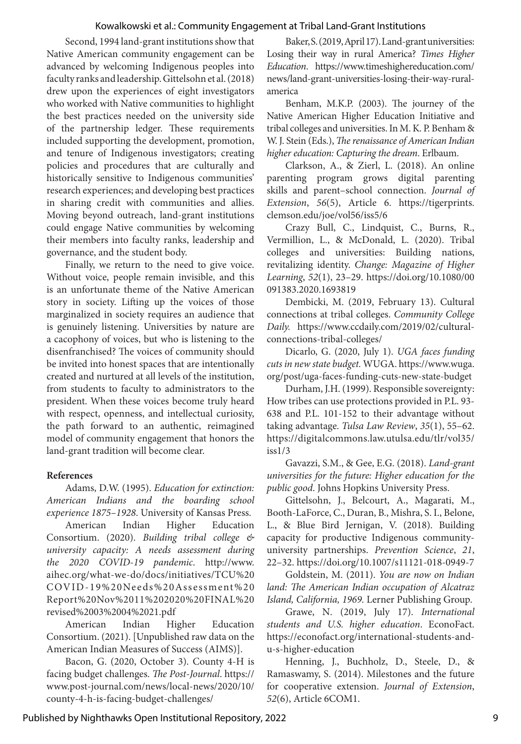Second, 1994 land-grant institutions show that Native American community engagement can be advanced by welcoming Indigenous peoples into faculty ranks and leadership. Gittelsohn et al. (2018) drew upon the experiences of eight investigators who worked with Native communities to highlight the best practices needed on the university side of the partnership ledger. These requirements included supporting the development, promotion, and tenure of Indigenous investigators; creating policies and procedures that are culturally and historically sensitive to Indigenous communities' research experiences; and developing best practices in sharing credit with communities and allies. Moving beyond outreach, land-grant institutions could engage Native communities by welcoming their members into faculty ranks, leadership and governance, and the student body.

Finally, we return to the need to give voice. Without voice, people remain invisible, and this is an unfortunate theme of the Native American story in society. Lifting up the voices of those marginalized in society requires an audience that is genuinely listening. Universities by nature are a cacophony of voices, but who is listening to the disenfranchised? The voices of community should be invited into honest spaces that are intentionally created and nurtured at all levels of the institution, from students to faculty to administrators to the president. When these voices become truly heard with respect, openness, and intellectual curiosity, the path forward to an authentic, reimagined model of community engagement that honors the land-grant tradition will become clear.

### **References**

Adams, D.W. (1995). *Education for extinction: American Indians and the boarding school experience 1875–1928*. University of Kansas Press.

American Indian Higher Education Consortium. (2020). *Building tribal college & university capacity: A needs assessment during the 2020 COVID-19 pandemic*. http://www. aihec.org/what-we-do/docs/initiatives/TCU%20 COVID-19%20Needs%20Assessment%20 Report%20Nov%2011%202020%20FINAL%20 revised%2003%2004%2021.pdf

American Indian Higher Education Consortium. (2021). [Unpublished raw data on the American Indian Measures of Success (AIMS)].

Bacon, G. (2020, October 3). County 4-H is facing budget challenges. *The Post-Journal*. https:// www.post-journal.com/news/local-news/2020/10/ county-4-h-is-facing-budget-challenges/

Baker, S. (2019, April 17). Land-grant universities: Losing their way in rural America? *Times Higher Education*. https://www.timeshighereducation.com/ news/land-grant-universities-losing-their-way-ruralamerica

Benham, M.K.P. (2003). The journey of the Native American Higher Education Initiative and tribal colleges and universities. In M. K. P. Benham & W. J. Stein (Eds.), *The renaissance of American Indian higher education: Capturing the dream*. Erlbaum.

Clarkson, A., & Zierl, L. (2018). An online parenting program grows digital parenting skills and parent–school connection. *Journal of Extension*, *56*(5), Article 6. https://tigerprints. clemson.edu/joe/vol56/iss5/6

Crazy Bull, C., Lindquist, C., Burns, R., Vermillion, L., & McDonald, L. (2020). Tribal colleges and universities: Building nations, revitalizing identity. *Change: Magazine of Higher Learning*, *52*(1), 23–29. https://doi.org/10.1080/00 091383.2020.1693819

Dembicki, M. (2019, February 13). Cultural connections at tribal colleges. *Community College Daily.* https://www.ccdaily.com/2019/02/culturalconnections-tribal-colleges/

Dicarlo, G. (2020, July 1). *UGA faces funding cuts in new state budget.* WUGA. https://www.wuga. org/post/uga-faces-funding-cuts-new-state-budget

Durham, J.H. (1999). Responsible sovereignty: How tribes can use protections provided in P.L. 93- 638 and P.L. 101-152 to their advantage without taking advantage. *Tulsa Law Review*, *35*(1), 55–62. https://digitalcommons.law.utulsa.edu/tlr/vol35/ iss1/3

Gavazzi, S.M., & Gee, E.G. (2018). *Land-grant universities for the future: Higher education for the public good*. Johns Hopkins University Press.

Gittelsohn, J., Belcourt, A., Magarati, M., Booth-LaForce, C., Duran, B., Mishra, S. I., Belone, L., & Blue Bird Jernigan, V. (2018). Building capacity for productive Indigenous communityuniversity partnerships. *Prevention Science*, *21*, 22–32. https://doi.org/10.1007/s11121-018-0949-7

Goldstein, M. (2011). *You are now on Indian land: The American Indian occupation of Alcatraz Island, California, 1969.* Lerner Publishing Group.

Grawe, N. (2019, July 17). *International students and U.S. higher education*. EconoFact. https://econofact.org/international-students-andu-s-higher-education

Henning, J., Buchholz, D., Steele, D., & Ramaswamy, S. (2014). Milestones and the future for cooperative extension. *Journal of Extension*, *52*(6), Article 6COM1.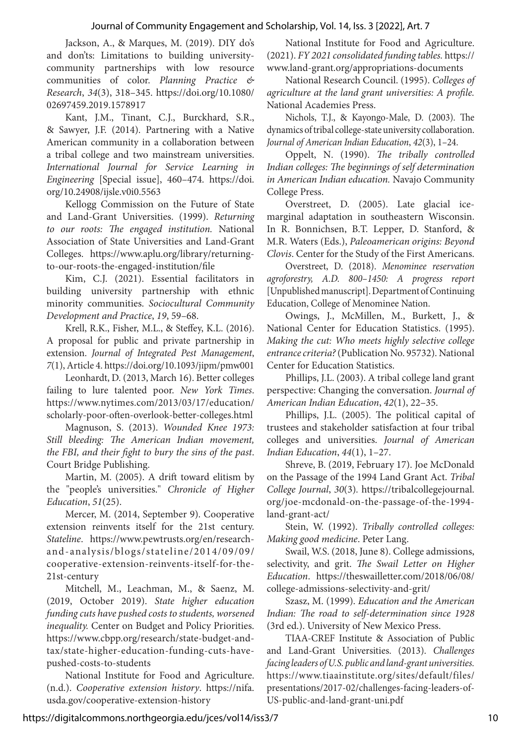Jackson, A., & Marques, M. (2019). DIY do's and don'ts: Limitations to building universitycommunity partnerships with low resource communities of color. *Planning Practice & Research*, *34*(3), 318–345. https://doi.org/10.1080/ 02697459.2019.1578917

Kant, J.M., Tinant, C.J., Burckhard, S.R., & Sawyer, J.F. (2014). Partnering with a Native American community in a collaboration between a tribal college and two mainstream universities. *International Journal for Service Learning in Engineering* [Special issue], 460–474. https://doi. org/10.24908/ijsle.v0i0.5563

Kellogg Commission on the Future of State and Land-Grant Universities. (1999). *Returning to our roots: The engaged institution.* National Association of State Universities and Land-Grant Colleges. https://www.aplu.org/library/returningto-our-roots-the-engaged-institution/file

Kim, C.J. (2021). Essential facilitators in building university partnership with ethnic minority communities. *Sociocultural Community Development and Practice*, *19*, 59–68.

Krell, R.K., Fisher, M.L., & Steffey, K.L. (2016). A proposal for public and private partnership in extension. *Journal of Integrated Pest Management*, *7*(1), Article 4. https://doi.org/10.1093/jipm/pmw001

Leonhardt, D. (2013, March 16). Better colleges failing to lure talented poor. *New York Times*. https://www.nytimes.com/2013/03/17/education/ scholarly-poor-often-overlook-better-colleges.html

Magnuson, S. (2013). *Wounded Knee 1973: Still bleeding: The American Indian movement, the FBI, and their fight to bury the sins of the past*. Court Bridge Publishing.

Martin, M. (2005). A drift toward elitism by the "people's universities." *Chronicle of Higher Education*, *51*(25).

Mercer, M. (2014, September 9). Cooperative extension reinvents itself for the 21st century. *Stateline*. https://www.pewtrusts.org/en/researchand-analysis/blogs/stateline/2014/09/09/ cooperative-extension-reinvents-itself-for-the-21st-century

Mitchell, M., Leachman, M., & Saenz, M. (2019, October 2019). *State higher education funding cuts have pushed costs to students, worsened inequality.* Center on Budget and Policy Priorities. https://www.cbpp.org/research/state-budget-andtax/state-higher-education-funding-cuts-havepushed-costs-to-students

National Institute for Food and Agriculture. (n.d.). *Cooperative extension history*. https://nifa. usda.gov/cooperative-extension-history

National Institute for Food and Agriculture. (2021). *FY 2021 consolidated funding tables.* https:// www.land-grant.org/appropriations-documents

National Research Council. (1995). *Colleges of agriculture at the land grant universities: A profile.*  National Academies Press.

Nichols, T.J., & Kayongo-Male, D. (2003). The dynamics of tribal college-state university collaboration. *Journal of American Indian Education*, *42*(3), 1–24.

Oppelt, N. (1990). *The tribally controlled Indian colleges: The beginnings of self determination in American Indian education.* Navajo Community College Press.

Overstreet, D. (2005). Late glacial icemarginal adaptation in southeastern Wisconsin. In R. Bonnichsen, B.T. Lepper, D. Stanford, & M.R. Waters (Eds.), *Paleoamerican origins: Beyond Clovis*. Center for the Study of the First Americans.

Overstreet, D. (2018). *Menominee reservation agroforestry, A.D. 800–1450: A progress report* [Unpublished manuscript]. Department of Continuing Education, College of Menominee Nation.

Owings, J., McMillen, M., Burkett, J., & National Center for Education Statistics. (1995). *Making the cut: Who meets highly selective college entrance criteria?* (Publication No. 95732). National Center for Education Statistics.

Phillips, J.L. (2003). A tribal college land grant perspective: Changing the conversation. *Journal of American Indian Education*, *42*(1), 22–35.

Phillips, J.L. (2005). The political capital of trustees and stakeholder satisfaction at four tribal colleges and universities. *Journal of American Indian Education*, *44*(1), 1–27.

Shreve, B. (2019, February 17). Joe McDonald on the Passage of the 1994 Land Grant Act. *Tribal College Journal*, *30*(3)*.* https://tribalcollegejournal. org/joe-mcdonald-on-the-passage-of-the-1994 land-grant-act/

Stein, W. (1992). *Tribally controlled colleges: Making good medicine*. Peter Lang.

Swail, W.S. (2018, June 8). College admissions, selectivity, and grit. *The Swail Letter on Higher Education*. https://theswailletter.com/2018/06/08/ college-admissions-selectivity-and-grit/

Szasz, M. (1999). *Education and the American Indian: The road to self-determination since 1928*  (3rd ed.). University of New Mexico Press.

TIAA-CREF Institute & Association of Public and Land-Grant Universities. (2013). *Challenges facing leaders of U.S. public and land-grant universities.* https://www.tiaainstitute.org/sites/default/files/ presentations/2017-02/challenges-facing-leaders-of-US-public-and-land-grant-uni.pdf